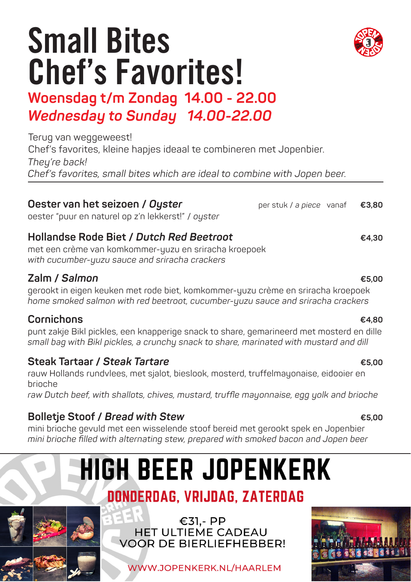## Small Bites Chef's Favorites!

### **Woensdag t/m Zondag 14.00 - 22.00** *Wednesday to Sunday 14.00-22.00*

Terug van weggeweest! Chef's favorites, kleine hapjes ideaal te combineren met Jopenbier. Theu're back! *Chef's favorites, small bites which are ideal to combine with Jopen beer.* 

### **Oester van het seizoen /** *Oyster*

oester "puur en naturel op z'n lekkerst!" / *oyster* 

### **Hollandse Rode Biet /** *Dutch Red Beetroot*

met een crème van komkommer-yuzu en sriracha kroepoek *with cucumber-yuzu sauce and sriracha crackers*

#### **Zalm /** *Salmon*

gerookt in eigen keuken met rode biet, komkommer-yuzu crème en sriracha kroepoek *home smoked salmon with red beetroot, cucumber-yuzu sauce and sriracha crackers*

#### **Cornichons**

punt zakje Bikl pickles, een knapperige snack to share, gemarineerd met mosterd en dille *small bag with Bikl pickles, a crunchy snack to share, marinated with mustard and dill*

### **Steak Tartaar /** *Steak Tartare*

rauw Hollands rundvlees, met sjalot, bieslook, mosterd, truffelmayonaise, eidooier en brioche

*raw Dutch beef, with shallots, chives, mustard, truffle mayonnaise, egg yolk and brioche*

### **Bolletje Stoof /** *Bread with Stew*

mini brioche gevuld met een wisselende stoof bereid met gerookt spek en Jopenbier *mini brioche filled with alternating stew, prepared with smoked bacon and Jopen beer*

## **HIGH BEER JOPENKERK**

### DONDERDAG, VRIJDAG, ZATERDAG

€31,- PP **HET ULTIEME CADEAU** VOOR DE BIERLIFFHEBBER!

WWW.JOPENKERK.NL/HAARLEM





#### **€4,80**

#### **€5,00**

**€5,00**

### **€4,30**

**€5,00**

per stuk / *a piece* vanaf **€3,80**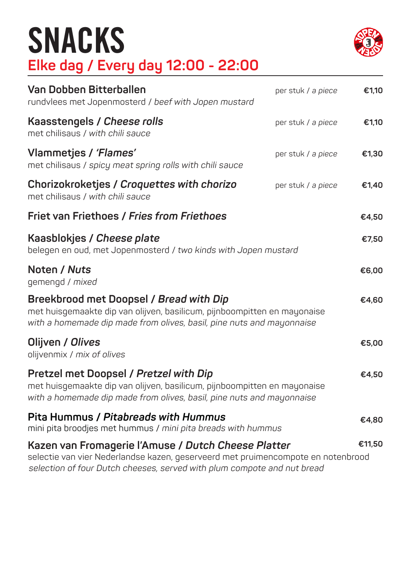## SNACKS **Elke dag / Every day 12:00 - 22:00**



| Van Dobben Bitterballen<br>rundvlees met Jopenmosterd / beef with Jopen mustard                                                                                                                                    | per stuk / a piece | €1,10  |
|--------------------------------------------------------------------------------------------------------------------------------------------------------------------------------------------------------------------|--------------------|--------|
| Kaasstengels / Cheese rolls<br>met chilisaus / with chili sauce                                                                                                                                                    | per stuk / a piece | €1,10  |
| Vlammetjes / 'Flames'<br>met chilisaus / spicy meat spring rolls with chili sauce                                                                                                                                  | per stuk / a piece | €1,30  |
| Chorizokroketjes / Croquettes with chorizo<br>met chilisaus / with chili sauce                                                                                                                                     | per stuk / a piece | €1,40  |
| Friet van Friethoes / Fries from Friethoes                                                                                                                                                                         |                    | €4,50  |
| Kaasblokjes / Cheese plate<br>belegen en oud, met Jopenmosterd / two kinds with Jopen mustard                                                                                                                      |                    | €7,50  |
| Noten / Nuts<br>gemengd / mixed                                                                                                                                                                                    |                    | €6,00  |
| Breekbrood met Doopsel / Bread with Dip<br>met huisgemaakte dip van olijven, basilicum, pijnboompitten en mayonaise<br>with a homemade dip made from olives, basil, pine nuts and mayonnaise                       |                    | €4,60  |
| Olijven / Olives<br>olijvenmix / mix of olives                                                                                                                                                                     |                    | €5,00  |
| Pretzel met Doopsel / Pretzel with Dip<br>met huisgemaakte dip van olijven, basilicum, pijnboompitten en mayonaise<br>with a homemade dip made from olives, basil, pine nuts and mayonnaise                        |                    | €4,50  |
| Pita Hummus / Pitabreads with Hummus<br>mini pita broodjes met hummus / mini pita breads with hummus                                                                                                               |                    | €4,80  |
| Kazen van Fromagerie l'Amuse / Dutch Cheese Platter<br>selectie van vier Nederlandse kazen, geserveerd met pruimencompote en notenbrood<br>selection of four Dutch cheeses, served with plum compote and nut bread |                    | €11,50 |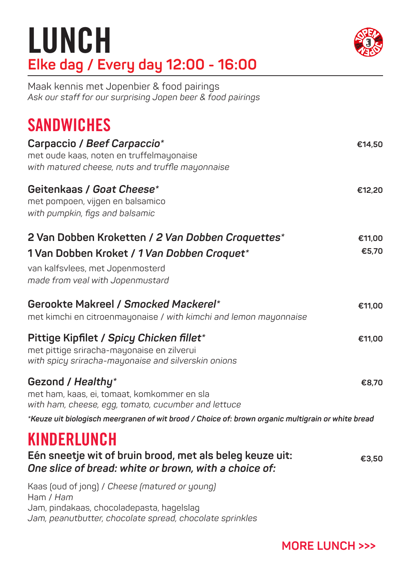## LUNCH **Elke dag / Every day 12:00 - 16:00**



Maak kennis met Jopenbier & food pairings *Ask our staff for our surprising Jopen beer & food pairings*

### **SANDWICHES**

| Carpaccio / Beef Carpaccio*<br>met oude kaas, noten en truffelmayonaise<br>with matured cheese, nuts and truffle mayonnaise                                              | €14,50          |
|--------------------------------------------------------------------------------------------------------------------------------------------------------------------------|-----------------|
| Geitenkaas / Goat Cheese*<br>met pompoen, vijgen en balsamico<br>with pumpkin, figs and balsamic                                                                         | €12,20          |
| 2 Van Dobben Kroketten / 2 Van Dobben Croquettes*<br>1 Van Dobben Kroket / 1 Van Dobben Croquet*<br>van kalfsvlees, met Jopenmosterd<br>made from veal with Jopenmustard | €11,00<br>€5,70 |
| Gerookte Makreel / Smocked Mackerel*<br>met kimchi en citroenmayonaise / with kimchi and lemon mayonnaise                                                                | €11,00          |
| Pittige Kipfilet / Spicy Chicken fillet*<br>met pittige sriracha-mayonaise en zilverui<br>with spicy sriracha-mayonaise and silverskin onions                            | €11,00          |
| Gezond / Healthy*<br>met ham, kaas, ei, tomaat, komkommer en sla<br>with ham, cheese, egg, tomato, cucumber and lettuce                                                  | €8,70           |
| *Keuze uit biologisch meergranen of wit brood / Choice of: brown organic multigrain or white bread                                                                       |                 |
| KINDERLUNCH<br>Eén sneetje wit of bruin brood, met als beleg keuze uit:<br>One slice of bread: white or brown, with a choice of:                                         | €3,50           |
| Kaas (oud of jong) / Cheese (matured or young)<br>Ham / Ham<br>Jam, pindakaas, chocoladepasta, hagelslag                                                                 |                 |

*Jam, peanutbutter, chocolate spread, chocolate sprinkles*

**MORE LUNCH >>>**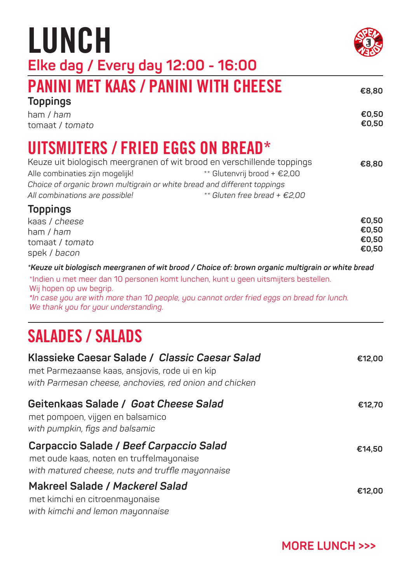| €14.50                         |
|--------------------------------|
| €12.00                         |
| <b>MORE LUNCH &gt;&gt;&gt;</b> |
|                                |

## UITSMIJTERS / FRIED EGGS ON BREAD\*

**Klassieke Caesar Salade /** *Classic Caesar Salad*

*with Parmesan cheese, anchovies, red onion and chicken*

met Parmezaanse kaas, ansjovis, rode ui en kip

**Geitenkaas Salade /** *Goat Cheese Salad* 

| Keuze uit biologisch meergranen of wit brood en verschillende toppings   |                                | €8,80 |
|--------------------------------------------------------------------------|--------------------------------|-------|
| Alle combinaties zijn mogelijk!                                          | ** Glutenvrij brood + €2,00    |       |
| Choice of organic brown multigrain or white bread and different toppings |                                |       |
| All combinations are possible!                                           | ** Gluten free bread + $£2,00$ |       |
| <b>Toppings</b>                                                          |                                |       |
| kaas / cheese                                                            |                                | €0.50 |
| ham / ham                                                                |                                | €0.50 |
| tomaat / tomato                                                          |                                | €0.50 |
|                                                                          |                                | €0.50 |

*\*Keuze uit biologisch meergranen of wit brood / Choice of: brown organic multigrain or white bread* 

\*Indien u met meer dan 10 personen komt lunchen, kunt u geen uitsmijters bestellen.

*\*In case you are with more than 10 people, you cannot order fried eggs on bread for lunch.* 

PANINI MET KAAS / PANINI WITH CHEESE

LUNCH **Elke dag / Every day 12:00 - 16:00**

spek / *bacon*

ham / *ham* tomaat / *tomato*

**Toppings**

SALADES / SALADS

*We thank you for your understanding.* 

Wij hopen op uw begrip.



**€0,50 €0,50**

**€12,00**

**€12,70**

**€8,80**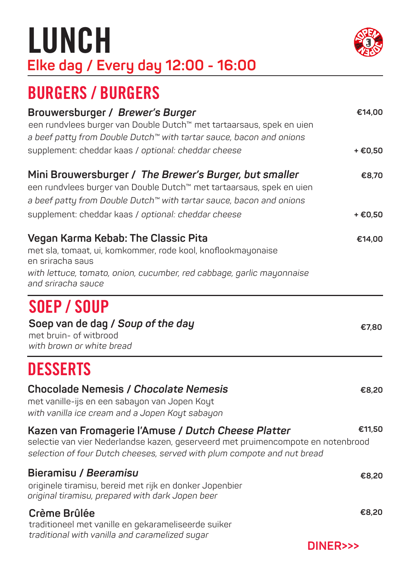## LUNCH **Elke dag / Every day 12:00 - 16:00**



| Brouwersburger / Brewer's Burger<br>een rundvlees burger van Double Dutch™ met tartaarsaus, spek en uien<br>a beef patty from Double Dutch™ with tartar sauce, bacon and onions                                        | €14,00    |
|------------------------------------------------------------------------------------------------------------------------------------------------------------------------------------------------------------------------|-----------|
| supplement: cheddar kaas / optional: cheddar cheese                                                                                                                                                                    | $+ E0,50$ |
| Mini Brouwersburger / The Brewer's Burger, but smaller<br>een rundvlees burger van Double Dutch™ met tartaarsaus, spek en uien<br>a beef patty from Double Dutch™ with tartar sauce, bacon and onions                  | €8,70     |
| supplement: cheddar kaas / optional: cheddar cheese                                                                                                                                                                    | $+E0,50$  |
| Vegan Karma Kebab: The Classic Pita<br>met sla, tomaat, ui, komkommer, rode kool, knoflookmayonaise<br>en sriracha saus<br>with lettuce, tomato, onion, cucumber, red cabbage, garlic mayonnaise<br>and sriracha sauce | €14,00    |
| SOEP / SOUP                                                                                                                                                                                                            |           |
| Soep van de dag / Soup of the day<br>met bruin- of witbrood<br>with brown or white bread                                                                                                                               | €7,80     |
| <b>DESSERTS</b>                                                                                                                                                                                                        |           |
| <b>Chocolade Nemesis / Chocolate Nemesis</b><br>met vanille-ijs en een sabayon van Jopen Koyt<br>with vanilla ice cream and a Jopen Koyt sabayon                                                                       | €8,20     |
| Kazen van Fromagerie l'Amuse / Dutch Cheese Platter<br>selectie van vier Nederlandse kazen, geserveerd met pruimencompote en notenbrood<br>selection of four Dutch cheeses, served with plum compote and nut bread     | €11,50    |
| Bieramisu / Beeramisu<br>originele tiramisu, bereid met rijk en donker Jopenbier<br>original tiramisu, prepared with dark Jopen beer                                                                                   | €8,20     |
| Crème Brûlée<br>traditioneel met vanille en gekarameliseerde suiker<br>traditional with vanilla and caramelized sugar                                                                                                  | €8,20     |



**DINER>>>**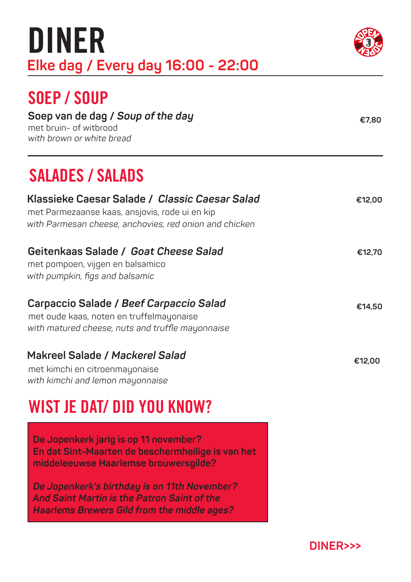| DINER<br>Elke dag / Every day 16:00 - 22:00                                                                                                                |        |
|------------------------------------------------------------------------------------------------------------------------------------------------------------|--------|
| SOEP/SOUP<br>Soep van de dag / Soup of the day<br>met bruin- of witbrood<br>with brown or white bread                                                      | €7.80  |
| <b>SALADES / SALADS</b>                                                                                                                                    |        |
| Klassieke Caesar Salade / Classic Caesar Salad<br>met Parmezaanse kaas, ansjovis, rode ui en kip<br>with Parmesan cheese, anchovies, red onion and chicken | €12,00 |

| Geitenkaas Salade / Goat Cheese Salad<br>met pompoen, vijgen en balsamico<br>with pumpkin, figs and balsamic                            | €12,70 |
|-----------------------------------------------------------------------------------------------------------------------------------------|--------|
| Carpaccio Salade / Beef Carpaccio Salad<br>met oude kaas, noten en truffelmayonaise<br>with matured cheese, nuts and truffle mayonnaise | €14,50 |
| Makreel Salade / Mackerel Salad                                                                                                         |        |

met kimchi en citroenmayonaise **and the citroenmayonaise** en extensive to the citroenmayonaise en extensive to the citroenmayonaise en extensive to the citroenmayonaise en extensive to the citroenmayonaise en extensive to *with kimchi and lemon mayonnaise* 

### WIST JE DAT/ DID YOU KNOW?

 **De Jopenkerk jarig is op 11 november? En dat Sint-Maarten de beschermheilige is van het middeleeuwse Haarlemse brouwersgilde?**

 *De Jopenkerk's birthday is on 11th November? And Saint Martin is the Patron Saint of the Haarlems Brewers Gild from the middle ages?*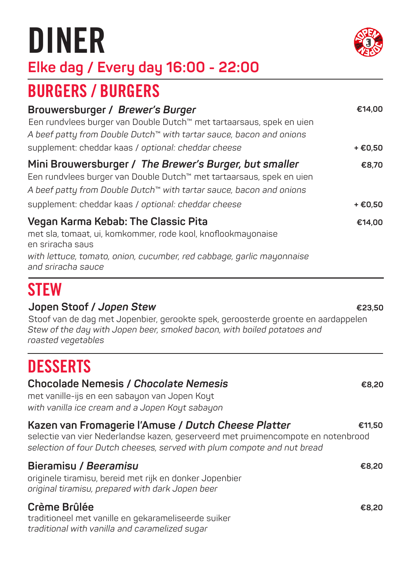## DINER



**€8,20**

**€23,50**

### **Elke dag / Every day 16:00 - 22:00**

### BURGERS / BURGERS

| Brouwersburger / Brewer's Burger<br>Een rundvlees burger van Double Dutch™ met tartaarsaus, spek en uien<br>A beef patty from Double Dutch™ with tartar sauce, bacon and onions                                                                              | €14,00             |
|--------------------------------------------------------------------------------------------------------------------------------------------------------------------------------------------------------------------------------------------------------------|--------------------|
| supplement: cheddar kaas / optional: cheddar cheese                                                                                                                                                                                                          | + €0,50            |
| Mini Brouwersburger / The Brewer's Burger, but smaller<br>Een rundvlees burger van Double Dutch™ met tartaarsaus, spek en uien<br>A beef patty from Double Dutch™ with tartar sauce, bacon and onions<br>supplement: cheddar kaas / optional: cheddar cheese | €8,70<br>$+$ €0,50 |
| Vegan Karma Kebab: The Classic Pita<br>met sla, tomaat, ui, komkommer, rode kool, knoflookmayonaise<br>en sriracha saus<br>with lettuce, tomato, onion, cucumber, red cabbage, garlic mayonnaise<br>and sriracha sauce                                       | €14,00             |

### **STEW**

#### **Jopen Stoof /** *Jopen Stew*

Stoof van de dag met Jopenbier, gerookte spek, geroosterde groente en aardappelen *Stew of the day with Jopen beer, smoked bacon, with boiled potatoes and roasted vegetables* 

### **DESSERTS**

#### **Chocolade Nemesis /** *Chocolate Nemesis*

met vanille-ijs en een sabayon van Jopen Koyt *with vanilla ice cream and a Jopen Koyt sabayon*

| Kazen van Fromagerie l'Amuse / Dutch Cheese Platter<br>selectie van vier Nederlandse kazen, geserveerd met pruimencompote en notenbrood<br>selection of four Dutch cheeses, served with plum compote and nut bread | €11.50 |
|--------------------------------------------------------------------------------------------------------------------------------------------------------------------------------------------------------------------|--------|
| Bieramisu / Beeramisu<br>originele tiramisu, bereid met rijk en donker Jopenbier<br>original tiramisu, prepared with dark Jopen beer                                                                               | €8.20  |
| Crème Brûlée<br>traditioneel met vanille en gekarameliseerde suiker<br>traditional with vanilla and caramelized sugar                                                                                              | €8.20  |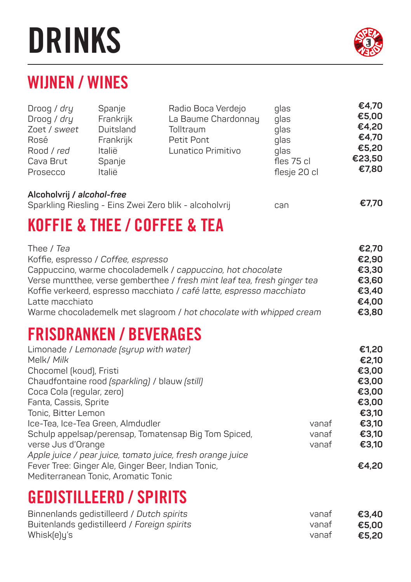## DRINKS

### WIJNEN / WINES

| Droog / dry<br>Droog / dry<br>Zoet / sweet<br>Rosé<br>Rood / red<br>Cava Brut<br>Prosecco   | Spanje<br>Frankrijk<br>Duitsland<br>Frankrijk<br>Italië<br>Spanje<br>Italië              | Radio Boca Verdejo<br>La Baume Chardonnay<br>Tolltraum<br>Petit Pont<br>Lunatico Primitivo                                                                                                                                                                                             | glas<br>glas<br>glas<br>glas<br>glas<br>fles 75 cl<br>flesje 20 cl | €4,70<br>€5,00<br>€4,20<br>€4,70<br>€5,20<br>€23,50<br>€7,80 |
|---------------------------------------------------------------------------------------------|------------------------------------------------------------------------------------------|----------------------------------------------------------------------------------------------------------------------------------------------------------------------------------------------------------------------------------------------------------------------------------------|--------------------------------------------------------------------|--------------------------------------------------------------|
| Alcoholvrij / alcohol-free                                                                  |                                                                                          | Sparkling Riesling - Eins Zwei Zero blik - alcoholvrij                                                                                                                                                                                                                                 | can                                                                | €7,70                                                        |
|                                                                                             |                                                                                          | <b>KOFFIE &amp; THEE / COFFEE &amp; TEA</b>                                                                                                                                                                                                                                            |                                                                    |                                                              |
| Thee / Tea<br>Latte macchiato                                                               | Koffie, espresso / Coffee, espresso                                                      | Cappuccino, warme chocolademelk / cappuccino, hot chocolate<br>Verse muntthee, verse gemberthee / fresh mint leaf tea, fresh ginger tea<br>Koffie verkeerd, espresso macchiato / café latte, espresso macchiato<br>Warme chocolademelk met slagroom / hot chocolate with whipped cream |                                                                    | €2,70<br>€2,90<br>€3,30<br>€3,60<br>€3,40<br>€4,00<br>€3.80  |
|                                                                                             | <b>FRISDRANKEN / BEVERAGES</b>                                                           |                                                                                                                                                                                                                                                                                        |                                                                    |                                                              |
| Melk/ Milk<br>Chocomel (koud), Fristi<br>Coca Cola (regular, zero)<br>Fanta, Cassis, Sprite | Limonade / Lemonade (syrup with water)<br>Chaudfontaine rood (sparkling) / blauw (still) |                                                                                                                                                                                                                                                                                        |                                                                    | €1,20<br>€2,10<br>€3,00<br>€3,00<br>€3,00<br>€3,00           |

Tonic, Bitter Lemon Ice-Tea, Ice-Tea Green, Almdudler vanaf Schulp appelsap/perensap, Tomatensap Big Tom Spiced, vanaf verse Jus d'Orange vanaf *Apple juice / pear juice, tomato juice, fresh orange juice* Fever Tree: Ginger Ale, Ginger Beer, Indian Tonic, **€3,10 €3,10 €3,10 €3,10 €4,20** 

Mediterranean Tonic, Aromatic Tonic

### GEDISTILLEERD / SPIRITS

| Binnenlands gedistilleerd / Dutch spirits   | vanat | €3.40 |
|---------------------------------------------|-------|-------|
| Buitenlands gedistilleerd / Foreign spirits | vanat | €5.00 |
| Whisk(e)u's                                 | vanat | €5.20 |

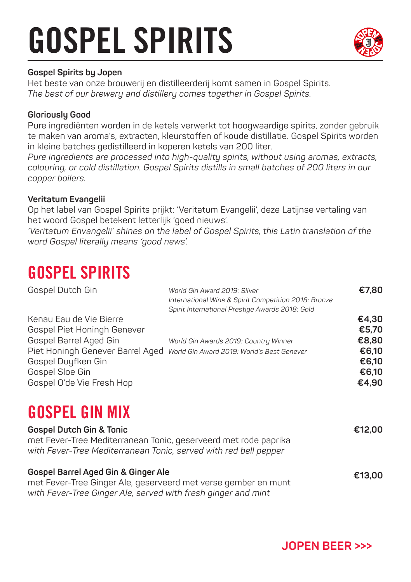## GOSPEL SPIRITS



#### **Gospel Spirits by Jopen**

Het beste van onze brouwerij en distilleerderij komt samen in Gospel Spirits. *The best of our brewery and distillery comes together in Gospel Spirits.*

#### **Gloriously Good**

Pure ingrediënten worden in de ketels verwerkt tot hoogwaardige spirits, zonder gebruik te maken van aroma's, extracten, kleurstoffen of koude distillatie. Gospel Spirits worden in kleine batches gedistilleerd in koperen ketels van 200 liter.

*Pure ingredients are processed into high-quality spirits, without using aromas, extracts, colouring, or cold distillation. Gospel Spirits distills in small batches of 200 liters in our copper boilers.*

#### **Veritatum Evangelii**

Op het label van Gospel Spirits prijkt: 'Veritatum Evangelii', deze Latijnse vertaling van het woord Gospel betekent letterlijk 'goed nieuws'.

*'Veritatum Envangelii' shines on the label of Gospel Spirits, this Latin translation of the word Gospel literally means 'good news'.*

### GOSPEL SPIRITS

Gospel Dutch Gin *World Gin Award 2019: Silver International Wine & Spirit Competition 2018: Bronze Spirit International Prestige Awards 2018: Gold* Kenau Eau de Vie Bierre Gospel Piet Honingh Genever Gospel Barrel Aged Gin *World Gin Awards 2019: Country Winner* Piet Honingh Genever Barrel Aged *World Gin Award 2019: World's Best Genever* Gospel Duyfken Gin Gospel Sloe Gin Gospel O'de Vie Fresh Hop **€7,80 €4,30 €5,70 €8,80 €6,10 €6,10 €6,10 €4,90**

### GOSPEL GIN MIX

| <b>Gospel Dutch Gin &amp; Tonic</b>                                                                                                 | €12.00 |
|-------------------------------------------------------------------------------------------------------------------------------------|--------|
| met Fever-Tree Mediterranean Tonic, geserveerd met rode paprika<br>with Fever-Tree Mediterranean Tonic, served with red bell pepper |        |
| Gospel Barrel Aged Gin & Ginger Ale<br>met Fever-Tree Ginger Ale, geserveerd met verse gember en munt                               | €13.00 |

*with Fever-Tree Ginger Ale, served with fresh ginger and mint* 

**JOPEN BEER >>>**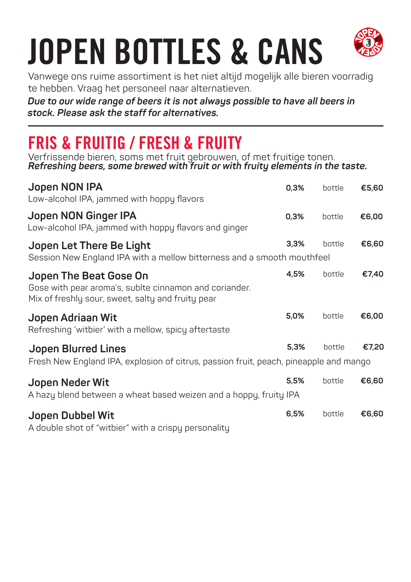

Vanwege ons ruime assortiment is het niet altijd mogelijk alle bieren voorradig te hebben. Vraag het personeel naar alternatieven.

*Due to our wide range of beers it is not always possible to have all beers in stock. Please ask the staff for alternatives.*

## FRIS & FRUITIG / FRESH & FRUITY

Verfrissende bieren, soms met fruit gebrouwen, of met fruitige tonen. *Refreshing beers, some brewed with fruit or with fruity elements in the taste.*

| Jopen NON IPA<br>Low-alcohol IPA, jammed with hoppy flavors                                                                           | 0,3% | bottle | €5,60 |
|---------------------------------------------------------------------------------------------------------------------------------------|------|--------|-------|
| Jopen NON Ginger IPA<br>Low-alcohol IPA, jammed with hoppy flavors and ginger                                                         | 0,3% | bottle | €6,00 |
| Jopen Let There Be Light<br>Session New England IPA with a mellow bitterness and a smooth mouthfeel                                   | 3,3% | bottle | €6,60 |
| Jopen The Beat Gose On<br>Gose with pear aroma's, sublte cinnamon and coriander.<br>Mix of freshly sour, sweet, salty and fruity pear | 4,5% | bottle | €7,40 |
| Jopen Adriaan Wit<br>Refreshing 'witbier' with a mellow, spicy aftertaste                                                             | 5,0% | bottle | €6,00 |
| <b>Jopen Blurred Lines</b><br>Fresh New England IPA, explosion of citrus, passion fruit, peach, pineapple and mango                   | 5,3% | bottle | €7,20 |
| Jopen Neder Wit<br>A hazy blend between a wheat based weizen and a hoppy, fruity IPA                                                  | 5,5% | bottle | €6,60 |
| Jopen Dubbel Wit<br>A double shot of "witbier" with a crispy personality                                                              | 6,5% | bottle | €6,60 |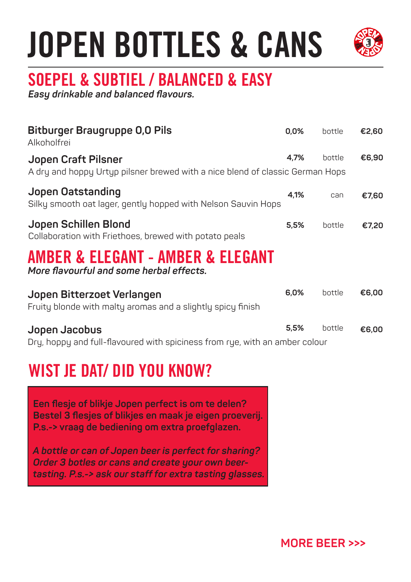

## SOEPEL & SUBTIEL / BALANCED & EASY

*Easy drinkable and balanced flavours.*

| <b>Bitburger Braugruppe 0,0 Pils</b><br>Alkoholfrei                                                  | 0,0% | bottle | €2,60 |
|------------------------------------------------------------------------------------------------------|------|--------|-------|
| Jopen Craft Pilsner<br>A dry and hoppy Urtyp pilsner brewed with a nice blend of classic German Hops | 4,7% | bottle | €6,90 |
| Jopen Oatstanding<br>Silky smooth oat lager, gently hopped with Nelson Sauvin Hops                   | 4,1% | can    | €7,60 |
| Jopen Schillen Blond<br>Collaboration with Friethoes, brewed with potato peals                       | 5,5% | bottle | €7,20 |
| AMBER & ELEGANT - AMBER & ELEGANT<br>More flavourful and some herbal effects.                        |      |        |       |
| Jopen Bitterzoet Verlangen<br>Fruity blonde with malty aromas and a slightly spicy finish            | 6,0% | bottle | €6,00 |
| Jopen Jacobus<br>Dry, hoppy and full-flavoured with spiciness from rye, with an amber colour         | 5,5% | bottle | €6,00 |
| WIST JE DAT/ DID YOU KNOW?                                                                           |      |        |       |

 **Een flesje of blikje Jopen perfect is om te delen? Bestel 3 flesjes of blikjes en maak je eigen proeverij. P.s.-> vraag de bediening om extra proefglazen.** 

 *A bottle or can of Jopen beer is perfect for sharing? Order 3 botles or cans and create your own beer tasting. P.s.-> ask our staff for extra tasting glasses.*

**MORE BEER >>>**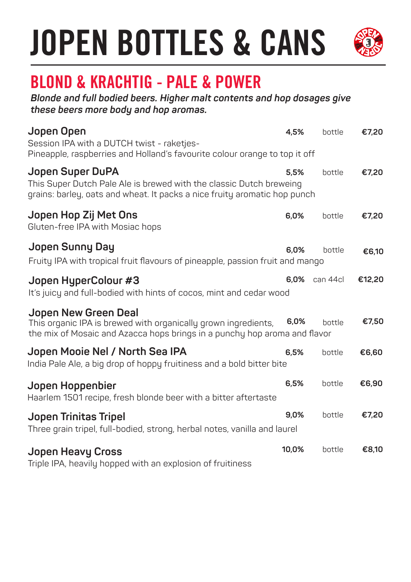

## BLOND & KRACHTIG - PALE & POWER

*Blonde and full bodied beers. Higher malt contents and hop dosages give these beers more body and hop aromas.* 

| Jopen Open<br>Session IPA with a DUTCH twist - raketjes-<br>Pineapple, raspberries and Holland's favourite colour orange to top it off                               | 4,5%  | bottle   | €7,20  |
|----------------------------------------------------------------------------------------------------------------------------------------------------------------------|-------|----------|--------|
| Jopen Super DuPA<br>This Super Dutch Pale Ale is brewed with the classic Dutch breweing<br>grains: barley, oats and wheat. It packs a nice fruity aromatic hop punch | 5.5%  | bottle   | €7,20  |
| Jopen Hop Zij Met Ons<br>Gluten-free IPA with Mosiac hops                                                                                                            | 6,0%  | bottle   | €7,20  |
| Jopen Sunny Day<br>Fruity IPA with tropical fruit flavours of pineapple, passion fruit and mango                                                                     | 6,0%  | bottle   | €6,10  |
| Jopen HyperColour #3<br>It's juicy and full-bodied with hints of cocos, mint and cedar wood                                                                          | 6,0%  | can 44cl | €12,20 |
| Jopen New Green Deal<br>This organic IPA is brewed with organically grown ingredients,<br>the mix of Mosaic and Azacca hops brings in a punchy hop aroma and flavor  | 6,0%  | bottle   | €7,50  |
| Jopen Mooie Nel / North Sea IPA<br>India Pale Ale, a big drop of hoppy fruitiness and a bold bitter bite                                                             | 6,5%  | bottle   | €6,60  |
| Jopen Hoppenbier<br>Haarlem 1501 recipe, fresh blonde beer with a bitter aftertaste                                                                                  | 6,5%  | bottle   | €6,90  |
| Jopen Trinitas Tripel<br>Three grain tripel, full-bodied, strong, herbal notes, vanilla and laurel                                                                   | 9,0%  | bottle   | €7,20  |
| <b>Jopen Heavy Cross</b><br>Triple IPA, heavily hopped with an explosion of fruitiness                                                                               | 10,0% | bottle   | €8,10  |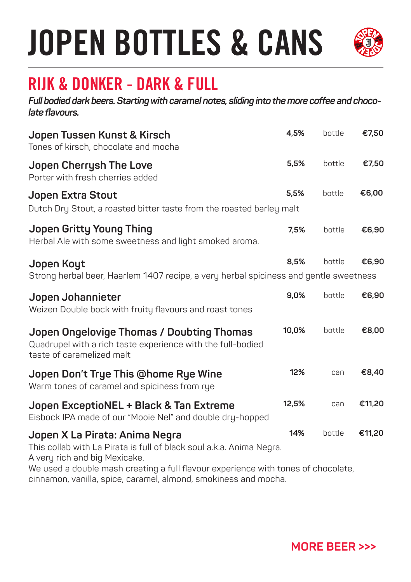

### RIJK & DONKER - DARK & FULL

*Full bodied dark beers. Starting with caramel notes, sliding into the more coffee and chocolate flavours.*

| Jopen Tussen Kunst & Kirsch<br>Tones of kirsch, chocolate and mocha                                                                                                                                                          | 4,5%  | bottle | €7,50  |
|------------------------------------------------------------------------------------------------------------------------------------------------------------------------------------------------------------------------------|-------|--------|--------|
| Jopen Cherrysh The Love<br>Porter with fresh cherries added                                                                                                                                                                  | 5,5%  | bottle | €7,50  |
| Jopen Extra Stout<br>Dutch Dry Stout, a roasted bitter taste from the roasted barley malt                                                                                                                                    | 5,5%  | bottle | €6,00  |
| Jopen Gritty Young Thing<br>Herbal Ale with some sweetness and light smoked aroma.                                                                                                                                           | 7,5%  | bottle | €6,90  |
| Jopen Koyt<br>Strong herbal beer, Haarlem 1407 recipe, a very herbal spiciness and gentle sweetness                                                                                                                          | 8.5%  | bottle | €6,90  |
| Jopen Johannieter<br>Weizen Double bock with fruity flavours and roast tones                                                                                                                                                 | 9,0%  | bottle | €6,90  |
| Jopen Ongelovige Thomas / Doubting Thomas<br>Quadrupel with a rich taste experience with the full-bodied<br>taste of caramelized malt                                                                                        | 10,0% | bottle | €8,00  |
| Jopen Don't Trye This @home Rye Wine<br>Warm tones of caramel and spiciness from rye                                                                                                                                         | 12%   | can    | €8,40  |
| Jopen ExceptioNEL + Black & Tan Extreme<br>Eisbock IPA made of our "Mooie Nel" and double dry-hopped                                                                                                                         | 12,5% | can    | €11,20 |
| Jopen X La Pirata: Anima Negra<br>This collab with La Pirata is full of black soul a.k.a. Anima Negra.<br>A very rich and big Mexicake.<br>We used a double mash creating a full flavour experience with tones of chocolate, | 14%   | bottle | €11,20 |

cinnamon, vanilla, spice, caramel, almond, smokiness and mocha.

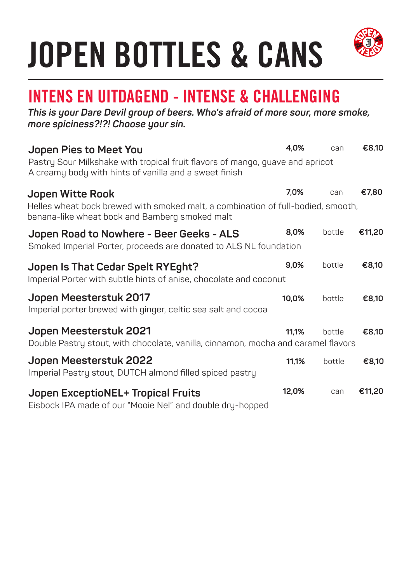

### INTENS EN UITDAGEND - INTENSE & CHALLENGING

*This is your Dare Devil group of beers. Who's afraid of more sour, more smoke, more spiciness?!?! Choose your sin.*

| Jopen Pies to Meet You                                                                                                                  | 4,0%  | can    | €8,10  |
|-----------------------------------------------------------------------------------------------------------------------------------------|-------|--------|--------|
| Pastry Sour Milkshake with tropical fruit flavors of mango, guave and apricot<br>A creamy body with hints of vanilla and a sweet finish |       |        |        |
| Jopen Witte Rook                                                                                                                        | 7.0%  | can    | €7,80  |
| Helles wheat bock brewed with smoked malt, a combination of full-bodied, smooth,<br>banana-like wheat bock and Bamberg smoked malt      |       |        |        |
| Jopen Road to Nowhere - Beer Geeks - ALS                                                                                                | 8,0%  | bottle | €11,20 |
| Smoked Imperial Porter, proceeds are donated to ALS NL foundation                                                                       |       |        |        |
| Jopen Is That Cedar Spelt RYEght?                                                                                                       | 9,0%  | bottle | €8,10  |
| Imperial Porter with subtle hints of anise, chocolate and coconut                                                                       |       |        |        |
| Jopen Meesterstuk 2017                                                                                                                  | 10,0% | bottle | €8,10  |
| Imperial porter brewed with ginger, celtic sea salt and cocoa                                                                           |       |        |        |
| Jopen Meesterstuk 2021                                                                                                                  | 11.1% | bottle | €8,10  |
| Double Pastry stout, with chocolate, vanilla, cinnamon, mocha and caramel flavors                                                       |       |        |        |
| Jopen Meesterstuk 2022                                                                                                                  | 11,1% | bottle | €8,10  |
| Imperial Pastry stout, DUTCH almond filled spiced pastry                                                                                |       |        |        |
| Jopen ExceptioNEL+ Tropical Fruits                                                                                                      | 12,0% | can    | €11,20 |
| Eisbock IPA made of our "Mooie Nel" and double dry-hopped                                                                               |       |        |        |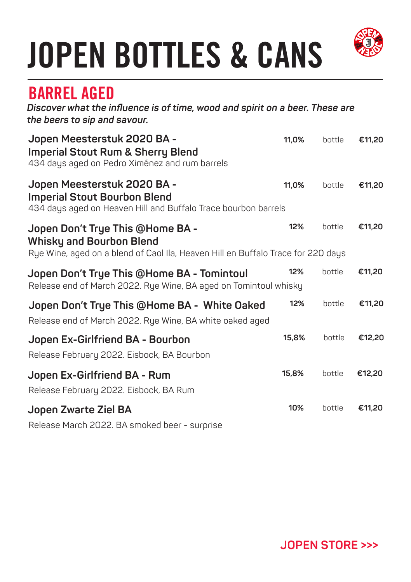

### BARREL AGED

*Discover what the influence is of time, wood and spirit on a beer. These are the beers to sip and savour.*

| Jopen Meesterstuk 2020 BA -<br><b>Imperial Stout Rum &amp; Sherry Blend</b><br>434 days aged on Pedro Ximénez and rum barrels                           | 11,0% | bottle | €11,20 |
|---------------------------------------------------------------------------------------------------------------------------------------------------------|-------|--------|--------|
| Jopen Meesterstuk 2020 BA -<br><b>Imperial Stout Bourbon Blend</b><br>434 days aged on Heaven Hill and Buffalo Trace bourbon barrels                    | 11,0% | bottle | €11,20 |
| Jopen Don't Trye This @Home BA -<br><b>Whisky and Bourbon Blend</b><br>Rye Wine, aged on a blend of Caol Ila, Heaven Hill en Buffalo Trace for 220 days | 12%   | bottle | €11,20 |
| Jopen Don't Trye This @Home BA - Tomintoul<br>Release end of March 2022. Rye Wine, BA aged on Tomintoul whisky                                          | 12%   | bottle | €11,20 |
| Jopen Don't Trye This @Home BA - White Oaked<br>Release end of March 2022. Rye Wine, BA white oaked aged                                                | 12%   | bottle | €11,20 |
| Jopen Ex-Girlfriend BA - Bourbon<br>Release February 2022. Eisbock, BA Bourbon                                                                          | 15,8% | bottle | €12,20 |
| Jopen Ex-Girlfriend BA - Rum<br>Release February 2022. Eisbock, BA Rum                                                                                  | 15,8% | bottle | €12,20 |
| Jopen Zwarte Ziel BA<br>Release March 2022. BA smoked beer - surprise                                                                                   | 10%   | bottle | €11,20 |

**JOPEN STORE >>>**